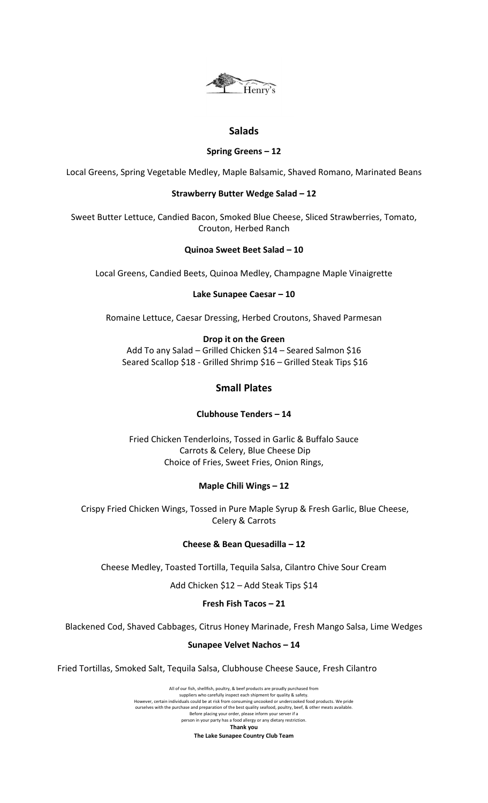

# **Salads**

### **Spring Greens – 12**

Local Greens, Spring Vegetable Medley, Maple Balsamic, Shaved Romano, Marinated Beans

### **Strawberry Butter Wedge Salad – 12**

Sweet Butter Lettuce, Candied Bacon, Smoked Blue Cheese, Sliced Strawberries, Tomato, Crouton, Herbed Ranch

## **Quinoa Sweet Beet Salad – 10**

Local Greens, Candied Beets, Quinoa Medley, Champagne Maple Vinaigrette

## **Lake Sunapee Caesar – 10**

Romaine Lettuce, Caesar Dressing, Herbed Croutons, Shaved Parmesan

## **Drop it on the Green**

Add To any Salad – Grilled Chicken \$14 – Seared Salmon \$16 Seared Scallop \$18 - Grilled Shrimp \$16 – Grilled Steak Tips \$16

# **Small Plates**

# **Clubhouse Tenders – 14**

Fried Chicken Tenderloins, Tossed in Garlic & Buffalo Sauce Carrots & Celery, Blue Cheese Dip Choice of Fries, Sweet Fries, Onion Rings,

# **Maple Chili Wings – 12**

Crispy Fried Chicken Wings, Tossed in Pure Maple Syrup & Fresh Garlic, Blue Cheese, Celery & Carrots

### **Cheese & Bean Quesadilla – 12**

Cheese Medley, Toasted Tortilla, Tequila Salsa, Cilantro Chive Sour Cream

Add Chicken \$12 – Add Steak Tips \$14

### **Fresh Fish Tacos – 21**

Blackened Cod, Shaved Cabbages, Citrus Honey Marinade, Fresh Mango Salsa, Lime Wedges

# **Sunapee Velvet Nachos – 14**

Fried Tortillas, Smoked Salt, Tequila Salsa, Clubhouse Cheese Sauce, Fresh Cilantro

All of our fish, shellfish, poultry, & beef products are proudly purchased from suppliers who carefully inspect each shipment for quality & safety. However, certain individuals could be at risk from consuming uncooked or undercooked food products. We pride ourselves with the purchase and preparation of the best quality seafood, poultry, beef, & other meats available. Before placing your order, please inform your server if a person in your party has a food allergy or any dietary restriction. **Thank you The Lake Sunapee Country Club Team**